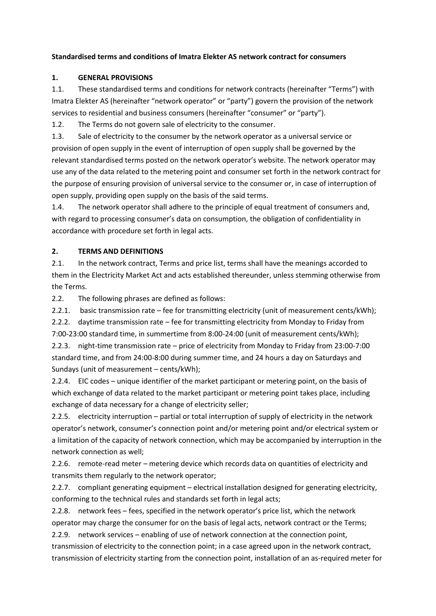#### **Standardised terms and conditions of Imatra Elekter AS network contract for consumers**

#### **1. GENERAL PROVISIONS**

1.1. These standardised terms and conditions for network contracts (hereinafter "Terms") with Imatra Elekter AS (hereinafter "network operator" or "party") govern the provision of the network services to residential and business consumers (hereinafter "consumer" or "party").

1.2. The Terms do not govern sale of electricity to the consumer.

1.3. Sale of electricity to the consumer by the network operator as a universal service or provision of open supply in the event of interruption of open supply shall be governed by the relevant standardised terms posted on the network operator's website. The network operator may use any of the data related to the metering point and consumer set forth in the network contract for the purpose of ensuring provision of universal service to the consumer or, in case of interruption of open supply, providing open supply on the basis of the said terms.

1.4. The network operator shall adhere to the principle of equal treatment of consumers and, with regard to processing consumer's data on consumption, the obligation of confidentiality in accordance with procedure set forth in legal acts.

#### **2. TERMS AND DEFINITIONS**

2.1. In the network contract, Terms and price list, terms shall have the meanings accorded to them in the Electricity Market Act and acts established thereunder, unless stemming otherwise from the Terms.

2.2. The following phrases are defined as follows:

2.2.1. basic transmission rate – fee for transmitting electricity (unit of measurement cents/kWh);

2.2.2. daytime transmission rate – fee for transmitting electricity from Monday to Friday from 7:00-23:00 standard time, in summertime from 8:00-24:00 (unit of measurement cents/kWh); 2.2.3. night-time transmission rate – price of electricity from Monday to Friday from 23:00-7:00 standard time, and from 24:00-8:00 during summer time, and 24 hours a day on Saturdays and

Sundays (unit of measurement – cents/kWh);

2.2.4. EIC codes – unique identifier of the market participant or metering point, on the basis of which exchange of data related to the market participant or metering point takes place, including exchange of data necessary for a change of electricity seller;

2.2.5. electricity interruption – partial or total interruption of supply of electricity in the network operator's network, consumer's connection point and/or metering point and/or electrical system or a limitation of the capacity of network connection, which may be accompanied by interruption in the network connection as well;

2.2.6. remote-read meter – metering device which records data on quantities of electricity and transmits them regularly to the network operator;

2.2.7. compliant generating equipment – electrical installation designed for generating electricity, conforming to the technical rules and standards set forth in legal acts;

2.2.8. network fees – fees, specified in the network operator's price list, which the network operator may charge the consumer for on the basis of legal acts, network contract or the Terms;

2.2.9. network services – enabling of use of network connection at the connection point,

transmission of electricity to the connection point; in a case agreed upon in the network contract, transmission of electricity starting from the connection point, installation of an as-required meter for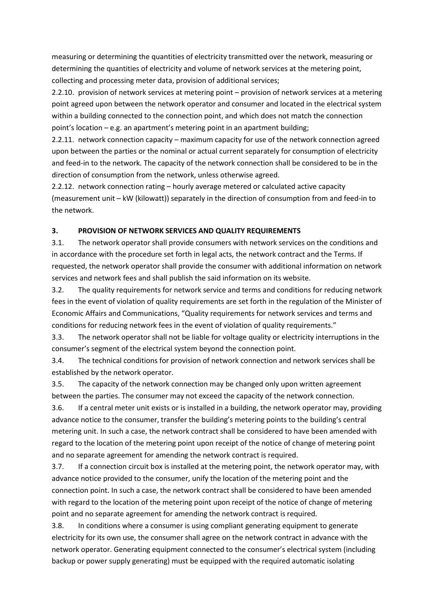measuring or determining the quantities of electricity transmitted over the network, measuring or determining the quantities of electricity and volume of network services at the metering point, collecting and processing meter data, provision of additional services;

2.2.10. provision of network services at metering point – provision of network services at a metering point agreed upon between the network operator and consumer and located in the electrical system within a building connected to the connection point, and which does not match the connection point's location – e.g. an apartment's metering point in an apartment building;

2.2.11. network connection capacity – maximum capacity for use of the network connection agreed upon between the parties or the nominal or actual current separately for consumption of electricity and feed-in to the network. The capacity of the network connection shall be considered to be in the direction of consumption from the network, unless otherwise agreed.

2.2.12. network connection rating – hourly average metered or calculated active capacity (measurement unit – kW (kilowatt)) separately in the direction of consumption from and feed-in to the network.

#### **3. PROVISION OF NETWORK SERVICES AND QUALITY REQUIREMENTS**

3.1. The network operator shall provide consumers with network services on the conditions and in accordance with the procedure set forth in legal acts, the network contract and the Terms. If requested, the network operator shall provide the consumer with additional information on network services and network fees and shall publish the said information on its website.

3.2. The quality requirements for network service and terms and conditions for reducing network fees in the event of violation of quality requirements are set forth in the regulation of the Minister of Economic Affairs and Communications, "Quality requirements for network services and terms and conditions for reducing network fees in the event of violation of quality requirements."

3.3. The network operator shall not be liable for voltage quality or electricity interruptions in the consumer's segment of the electrical system beyond the connection point.

3.4. The technical conditions for provision of network connection and network services shall be established by the network operator.

3.5. The capacity of the network connection may be changed only upon written agreement between the parties. The consumer may not exceed the capacity of the network connection.

3.6. If a central meter unit exists or is installed in a building, the network operator may, providing advance notice to the consumer, transfer the building's metering points to the building's central metering unit. In such a case, the network contract shall be considered to have been amended with regard to the location of the metering point upon receipt of the notice of change of metering point and no separate agreement for amending the network contract is required.

3.7. If a connection circuit box is installed at the metering point, the network operator may, with advance notice provided to the consumer, unify the location of the metering point and the connection point. In such a case, the network contract shall be considered to have been amended with regard to the location of the metering point upon receipt of the notice of change of metering point and no separate agreement for amending the network contract is required.

3.8. In conditions where a consumer is using compliant generating equipment to generate electricity for its own use, the consumer shall agree on the network contract in advance with the network operator. Generating equipment connected to the consumer's electrical system (including backup or power supply generating) must be equipped with the required automatic isolating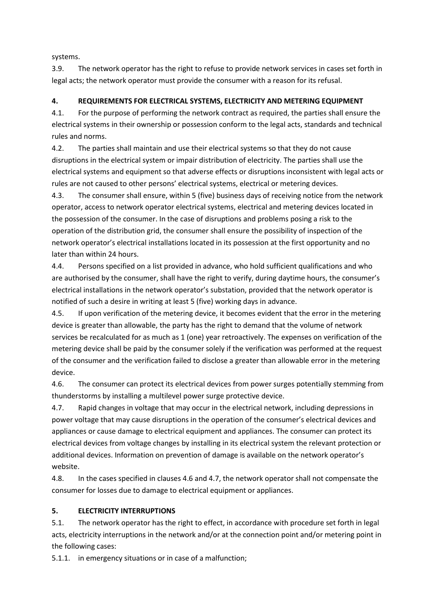systems.

3.9. The network operator has the right to refuse to provide network services in cases set forth in legal acts; the network operator must provide the consumer with a reason for its refusal.

## **4. REQUIREMENTS FOR ELECTRICAL SYSTEMS, ELECTRICITY AND METERING EQUIPMENT**

4.1. For the purpose of performing the network contract as required, the parties shall ensure the electrical systems in their ownership or possession conform to the legal acts, standards and technical rules and norms.

4.2. The parties shall maintain and use their electrical systems so that they do not cause disruptions in the electrical system or impair distribution of electricity. The parties shall use the electrical systems and equipment so that adverse effects or disruptions inconsistent with legal acts or rules are not caused to other persons' electrical systems, electrical or metering devices.

4.3. The consumer shall ensure, within 5 (five) business days of receiving notice from the network operator, access to network operator electrical systems, electrical and metering devices located in the possession of the consumer. In the case of disruptions and problems posing a risk to the operation of the distribution grid, the consumer shall ensure the possibility of inspection of the network operator's electrical installations located in its possession at the first opportunity and no later than within 24 hours.

4.4. Persons specified on a list provided in advance, who hold sufficient qualifications and who are authorised by the consumer, shall have the right to verify, during daytime hours, the consumer's electrical installations in the network operator's substation, provided that the network operator is notified of such a desire in writing at least 5 (five) working days in advance.

4.5. If upon verification of the metering device, it becomes evident that the error in the metering device is greater than allowable, the party has the right to demand that the volume of network services be recalculated for as much as 1 (one) year retroactively. The expenses on verification of the metering device shall be paid by the consumer solely if the verification was performed at the request of the consumer and the verification failed to disclose a greater than allowable error in the metering device.

4.6. The consumer can protect its electrical devices from power surges potentially stemming from thunderstorms by installing a multilevel power surge protective device.

4.7. Rapid changes in voltage that may occur in the electrical network, including depressions in power voltage that may cause disruptions in the operation of the consumer's electrical devices and appliances or cause damage to electrical equipment and appliances. The consumer can protect its electrical devices from voltage changes by installing in its electrical system the relevant protection or additional devices. Information on prevention of damage is available on the network operator's website.

4.8. In the cases specified in clauses 4.6 and 4.7, the network operator shall not compensate the consumer for losses due to damage to electrical equipment or appliances.

## **5. ELECTRICITY INTERRUPTIONS**

5.1. The network operator has the right to effect, in accordance with procedure set forth in legal acts, electricity interruptions in the network and/or at the connection point and/or metering point in the following cases:

5.1.1. in emergency situations or in case of a malfunction;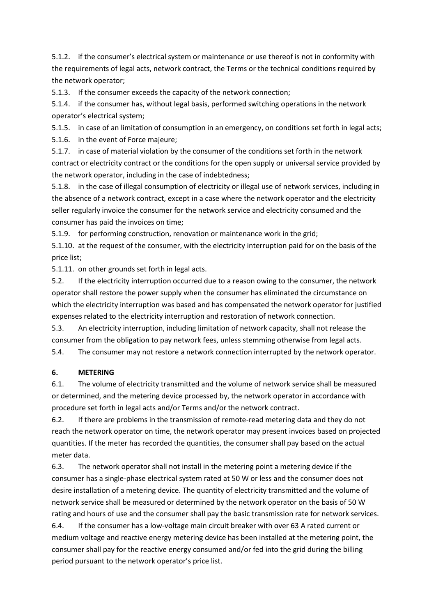5.1.2. if the consumer's electrical system or maintenance or use thereof is not in conformity with the requirements of legal acts, network contract, the Terms or the technical conditions required by the network operator;

5.1.3. If the consumer exceeds the capacity of the network connection;

5.1.4. if the consumer has, without legal basis, performed switching operations in the network operator's electrical system;

5.1.5. in case of an limitation of consumption in an emergency, on conditions set forth in legal acts;

5.1.6. in the event of Force majeure;

5.1.7. in case of material violation by the consumer of the conditions set forth in the network contract or electricity contract or the conditions for the open supply or universal service provided by the network operator, including in the case of indebtedness;

5.1.8. in the case of illegal consumption of electricity or illegal use of network services, including in the absence of a network contract, except in a case where the network operator and the electricity seller regularly invoice the consumer for the network service and electricity consumed and the consumer has paid the invoices on time;

5.1.9. for performing construction, renovation or maintenance work in the grid;

5.1.10. at the request of the consumer, with the electricity interruption paid for on the basis of the price list;

5.1.11. on other grounds set forth in legal acts.

5.2. If the electricity interruption occurred due to a reason owing to the consumer, the network operator shall restore the power supply when the consumer has eliminated the circumstance on which the electricity interruption was based and has compensated the network operator for justified expenses related to the electricity interruption and restoration of network connection.

5.3. An electricity interruption, including limitation of network capacity, shall not release the consumer from the obligation to pay network fees, unless stemming otherwise from legal acts.

5.4. The consumer may not restore a network connection interrupted by the network operator.

## **6. METERING**

6.1. The volume of electricity transmitted and the volume of network service shall be measured or determined, and the metering device processed by, the network operator in accordance with procedure set forth in legal acts and/or Terms and/or the network contract.

6.2. If there are problems in the transmission of remote-read metering data and they do not reach the network operator on time, the network operator may present invoices based on projected quantities. If the meter has recorded the quantities, the consumer shall pay based on the actual meter data.

6.3. The network operator shall not install in the metering point a metering device if the consumer has a single-phase electrical system rated at 50 W or less and the consumer does not desire installation of a metering device. The quantity of electricity transmitted and the volume of network service shall be measured or determined by the network operator on the basis of 50 W rating and hours of use and the consumer shall pay the basic transmission rate for network services. 6.4. If the consumer has a low-voltage main circuit breaker with over 63 A rated current or

medium voltage and reactive energy metering device has been installed at the metering point, the consumer shall pay for the reactive energy consumed and/or fed into the grid during the billing period pursuant to the network operator's price list.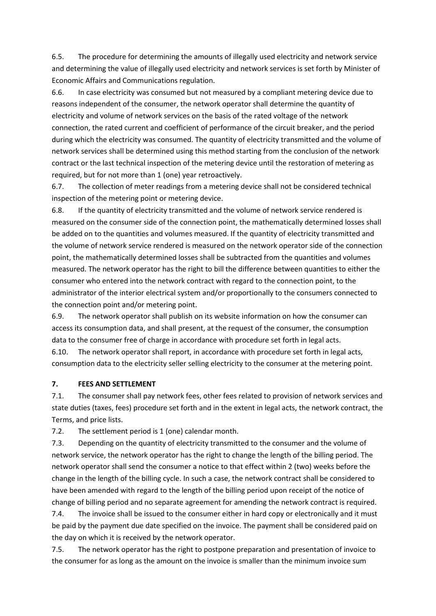6.5. The procedure for determining the amounts of illegally used electricity and network service and determining the value of illegally used electricity and network services is set forth by Minister of Economic Affairs and Communications regulation.

6.6. In case electricity was consumed but not measured by a compliant metering device due to reasons independent of the consumer, the network operator shall determine the quantity of electricity and volume of network services on the basis of the rated voltage of the network connection, the rated current and coefficient of performance of the circuit breaker, and the period during which the electricity was consumed. The quantity of electricity transmitted and the volume of network services shall be determined using this method starting from the conclusion of the network contract or the last technical inspection of the metering device until the restoration of metering as required, but for not more than 1 (one) year retroactively.

6.7. The collection of meter readings from a metering device shall not be considered technical inspection of the metering point or metering device.

6.8. If the quantity of electricity transmitted and the volume of network service rendered is measured on the consumer side of the connection point, the mathematically determined losses shall be added on to the quantities and volumes measured. If the quantity of electricity transmitted and the volume of network service rendered is measured on the network operator side of the connection point, the mathematically determined losses shall be subtracted from the quantities and volumes measured. The network operator has the right to bill the difference between quantities to either the consumer who entered into the network contract with regard to the connection point, to the administrator of the interior electrical system and/or proportionally to the consumers connected to the connection point and/or metering point.

6.9. The network operator shall publish on its website information on how the consumer can access its consumption data, and shall present, at the request of the consumer, the consumption data to the consumer free of charge in accordance with procedure set forth in legal acts.

6.10. The network operator shall report, in accordance with procedure set forth in legal acts, consumption data to the electricity seller selling electricity to the consumer at the metering point.

#### **7. FEES AND SETTLEMENT**

7.1. The consumer shall pay network fees, other fees related to provision of network services and state duties (taxes, fees) procedure set forth and in the extent in legal acts, the network contract, the Terms, and price lists.

7.2. The settlement period is 1 (one) calendar month.

7.3. Depending on the quantity of electricity transmitted to the consumer and the volume of network service, the network operator has the right to change the length of the billing period. The network operator shall send the consumer a notice to that effect within 2 (two) weeks before the change in the length of the billing cycle. In such a case, the network contract shall be considered to have been amended with regard to the length of the billing period upon receipt of the notice of change of billing period and no separate agreement for amending the network contract is required.

7.4. The invoice shall be issued to the consumer either in hard copy or electronically and it must be paid by the payment due date specified on the invoice. The payment shall be considered paid on the day on which it is received by the network operator.

7.5. The network operator has the right to postpone preparation and presentation of invoice to the consumer for as long as the amount on the invoice is smaller than the minimum invoice sum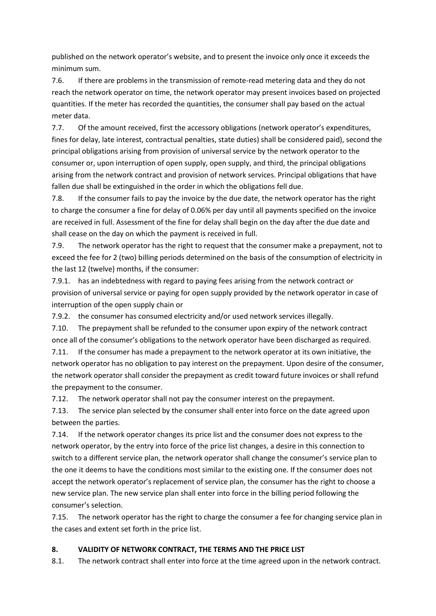published on the network operator's website, and to present the invoice only once it exceeds the minimum sum.

7.6. If there are problems in the transmission of remote-read metering data and they do not reach the network operator on time, the network operator may present invoices based on projected quantities. If the meter has recorded the quantities, the consumer shall pay based on the actual meter data.

7.7. Of the amount received, first the accessory obligations (network operator's expenditures, fines for delay, late interest, contractual penalties, state duties) shall be considered paid), second the principal obligations arising from provision of universal service by the network operator to the consumer or, upon interruption of open supply, open supply, and third, the principal obligations arising from the network contract and provision of network services. Principal obligations that have fallen due shall be extinguished in the order in which the obligations fell due.

7.8. If the consumer fails to pay the invoice by the due date, the network operator has the right to charge the consumer a fine for delay of 0.06% per day until all payments specified on the invoice are received in full. Assessment of the fine for delay shall begin on the day after the due date and shall cease on the day on which the payment is received in full.

7.9. The network operator has the right to request that the consumer make a prepayment, not to exceed the fee for 2 (two) billing periods determined on the basis of the consumption of electricity in the last 12 (twelve) months, if the consumer:

7.9.1. has an indebtedness with regard to paying fees arising from the network contract or provision of universal service or paying for open supply provided by the network operator in case of interruption of the open supply chain or

7.9.2. the consumer has consumed electricity and/or used network services illegally.

7.10. The prepayment shall be refunded to the consumer upon expiry of the network contract once all of the consumer's obligations to the network operator have been discharged as required.

7.11. If the consumer has made a prepayment to the network operator at its own initiative, the network operator has no obligation to pay interest on the prepayment. Upon desire of the consumer, the network operator shall consider the prepayment as credit toward future invoices or shall refund the prepayment to the consumer.

7.12. The network operator shall not pay the consumer interest on the prepayment.

7.13. The service plan selected by the consumer shall enter into force on the date agreed upon between the parties.

7.14. If the network operator changes its price list and the consumer does not express to the network operator, by the entry into force of the price list changes, a desire in this connection to switch to a different service plan, the network operator shall change the consumer's service plan to the one it deems to have the conditions most similar to the existing one. If the consumer does not accept the network operator's replacement of service plan, the consumer has the right to choose a new service plan. The new service plan shall enter into force in the billing period following the consumer's selection.

7.15. The network operator has the right to charge the consumer a fee for changing service plan in the cases and extent set forth in the price list.

## **8. VALIDITY OF NETWORK CONTRACT, THE TERMS AND THE PRICE LIST**

8.1. The network contract shall enter into force at the time agreed upon in the network contract.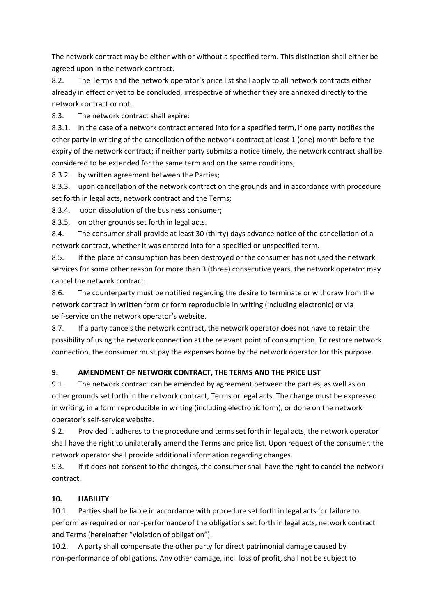The network contract may be either with or without a specified term. This distinction shall either be agreed upon in the network contract.

8.2. The Terms and the network operator's price list shall apply to all network contracts either already in effect or yet to be concluded, irrespective of whether they are annexed directly to the network contract or not.

8.3. The network contract shall expire:

8.3.1. in the case of a network contract entered into for a specified term, if one party notifies the other party in writing of the cancellation of the network contract at least 1 (one) month before the expiry of the network contract; if neither party submits a notice timely, the network contract shall be considered to be extended for the same term and on the same conditions;

8.3.2. by written agreement between the Parties;

8.3.3. upon cancellation of the network contract on the grounds and in accordance with procedure set forth in legal acts, network contract and the Terms;

8.3.4. upon dissolution of the business consumer;

8.3.5. on other grounds set forth in legal acts.

8.4. The consumer shall provide at least 30 (thirty) days advance notice of the cancellation of a network contract, whether it was entered into for a specified or unspecified term.

8.5. If the place of consumption has been destroyed or the consumer has not used the network services for some other reason for more than 3 (three) consecutive years, the network operator may cancel the network contract.

8.6. The counterparty must be notified regarding the desire to terminate or withdraw from the network contract in written form or form reproducible in writing (including electronic) or via self-service on the network operator's website.

8.7. If a party cancels the network contract, the network operator does not have to retain the possibility of using the network connection at the relevant point of consumption. To restore network connection, the consumer must pay the expenses borne by the network operator for this purpose.

# **9. AMENDMENT OF NETWORK CONTRACT, THE TERMS AND THE PRICE LIST**

9.1. The network contract can be amended by agreement between the parties, as well as on other grounds set forth in the network contract, Terms or legal acts. The change must be expressed in writing, in a form reproducible in writing (including electronic form), or done on the network operator's self-service website.

9.2. Provided it adheres to the procedure and terms set forth in legal acts, the network operator shall have the right to unilaterally amend the Terms and price list. Upon request of the consumer, the network operator shall provide additional information regarding changes.

9.3. If it does not consent to the changes, the consumer shall have the right to cancel the network contract.

# **10. LIABILITY**

10.1. Parties shall be liable in accordance with procedure set forth in legal acts for failure to perform as required or non-performance of the obligations set forth in legal acts, network contract and Terms (hereinafter "violation of obligation").

10.2. A party shall compensate the other party for direct patrimonial damage caused by non-performance of obligations. Any other damage, incl. loss of profit, shall not be subject to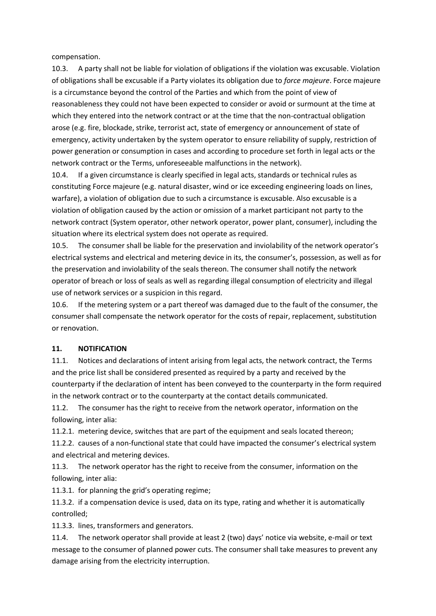compensation.

10.3. A party shall not be liable for violation of obligations if the violation was excusable. Violation of obligations shall be excusable if a Party violates its obligation due to *force majeure*. Force majeure is a circumstance beyond the control of the Parties and which from the point of view of reasonableness they could not have been expected to consider or avoid or surmount at the time at which they entered into the network contract or at the time that the non-contractual obligation arose (e.g. fire, blockade, strike, terrorist act, state of emergency or announcement of state of emergency, activity undertaken by the system operator to ensure reliability of supply, restriction of power generation or consumption in cases and according to procedure set forth in legal acts or the network contract or the Terms, unforeseeable malfunctions in the network).

10.4. If a given circumstance is clearly specified in legal acts, standards or technical rules as constituting Force majeure (e.g. natural disaster, wind or ice exceeding engineering loads on lines, warfare), a violation of obligation due to such a circumstance is excusable. Also excusable is a violation of obligation caused by the action or omission of a market participant not party to the network contract (System operator, other network operator, power plant, consumer), including the situation where its electrical system does not operate as required.

10.5. The consumer shall be liable for the preservation and inviolability of the network operator's electrical systems and electrical and metering device in its, the consumer's, possession, as well as for the preservation and inviolability of the seals thereon. The consumer shall notify the network operator of breach or loss of seals as well as regarding illegal consumption of electricity and illegal use of network services or a suspicion in this regard.

10.6. If the metering system or a part thereof was damaged due to the fault of the consumer, the consumer shall compensate the network operator for the costs of repair, replacement, substitution or renovation.

#### **11. NOTIFICATION**

11.1. Notices and declarations of intent arising from legal acts, the network contract, the Terms and the price list shall be considered presented as required by a party and received by the counterparty if the declaration of intent has been conveyed to the counterparty in the form required in the network contract or to the counterparty at the contact details communicated.

11.2. The consumer has the right to receive from the network operator, information on the following, inter alia:

11.2.1. metering device, switches that are part of the equipment and seals located thereon;

11.2.2. causes of a non-functional state that could have impacted the consumer's electrical system and electrical and metering devices.

11.3. The network operator has the right to receive from the consumer, information on the following, inter alia:

11.3.1. for planning the grid's operating regime;

11.3.2. if a compensation device is used, data on its type, rating and whether it is automatically controlled;

11.3.3. lines, transformers and generators.

11.4. The network operator shall provide at least 2 (two) days' notice via website, e-mail or text message to the consumer of planned power cuts. The consumer shall take measures to prevent any damage arising from the electricity interruption.